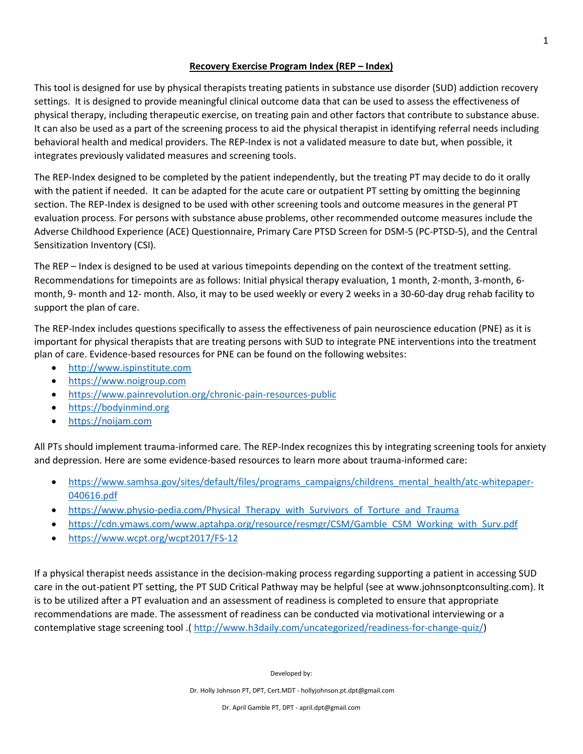## **Recovery Exercise Program Index (REP – Index)**

This tool is designed for use by physical therapists treating patients in substance use disorder (SUD) addiction recovery settings. It is designed to provide meaningful clinical outcome data that can be used to assess the effectiveness of physical therapy, including therapeutic exercise, on treating pain and other factors that contribute to substance abuse. It can also be used as a part of the screening process to aid the physical therapist in identifying referral needs including behavioral health and medical providers. The REP-Index is not a validated measure to date but, when possible, it integrates previously validated measures and screening tools.

The REP-Index designed to be completed by the patient independently, but the treating PT may decide to do it orally with the patient if needed. It can be adapted for the acute care or outpatient PT setting by omitting the beginning section. The REP-Index is designed to be used with other screening tools and outcome measures in the general PT evaluation process. For persons with substance abuse problems, other recommended outcome measures include the Adverse Childhood Experience (ACE) Questionnaire, Primary Care PTSD Screen for DSM-5 (PC-PTSD-5), and the Central Sensitization Inventory (CSI).

The REP – Index is designed to be used at various timepoints depending on the context of the treatment setting. Recommendations for timepoints are as follows: Initial physical therapy evaluation, 1 month, 2-month, 3-month, 6 month, 9- month and 12- month. Also, it may to be used weekly or every 2 weeks in a 30-60-day drug rehab facility to support the plan of care.

The REP-Index includes questions specifically to assess the effectiveness of pain neuroscience education (PNE) as it is important for physical therapists that are treating persons with SUD to integrate PNE interventions into the treatment plan of care. Evidence-based resources for PNE can be found on the following websites:

- [http://www.ispinstitute.com](http://www.ispinstitute.com/)
- [https://www.noigroup.com](https://www.noigroup.com/)
- <https://www.painrevolution.org/chronic-pain-resources-public>
- [https://bodyinmind.org](https://bodyinmind.org/)
- [https://noijam.com](https://noijam.com/)

All PTs should implement trauma-informed care. The REP-Index recognizes this by integrating screening tools for anxiety and depression. Here are some evidence-based resources to learn more about trauma-informed care:

- [https://www.samhsa.gov/sites/default/files/programs\\_campaigns/childrens\\_mental\\_health/atc-whitepaper-](https://www.samhsa.gov/sites/default/files/programs_campaigns/childrens_mental_health/atc-whitepaper-040616.pdf)[040616.pdf](https://www.samhsa.gov/sites/default/files/programs_campaigns/childrens_mental_health/atc-whitepaper-040616.pdf)
- https://www.physio-pedia.com/Physical Therapy with Survivors of Torture and Trauma
- [https://cdn.ymaws.com/www.aptahpa.org/resource/resmgr/CSM/Gamble\\_CSM\\_Working\\_with\\_Surv.pdf](https://cdn.ymaws.com/www.aptahpa.org/resource/resmgr/CSM/Gamble_CSM_Working_with_Surv.pdf)
- <https://www.wcpt.org/wcpt2017/FS-12>

If a physical therapist needs assistance in the decision-making process regarding supporting a patient in accessing SUD care in the out-patient PT setting, the PT SUD Critical Pathway may be helpful (see at www.johnsonptconsulting.com). It is to be utilized after a PT evaluation and an assessment of readiness is completed to ensure that appropriate recommendations are made. The assessment of readiness can be conducted via motivational interviewing or a contemplative stage screening tool .( [http://www.h3daily.com/uncategorized/readiness-for-change-quiz/\)](http://www.h3daily.com/uncategorized/readiness-for-change-quiz/)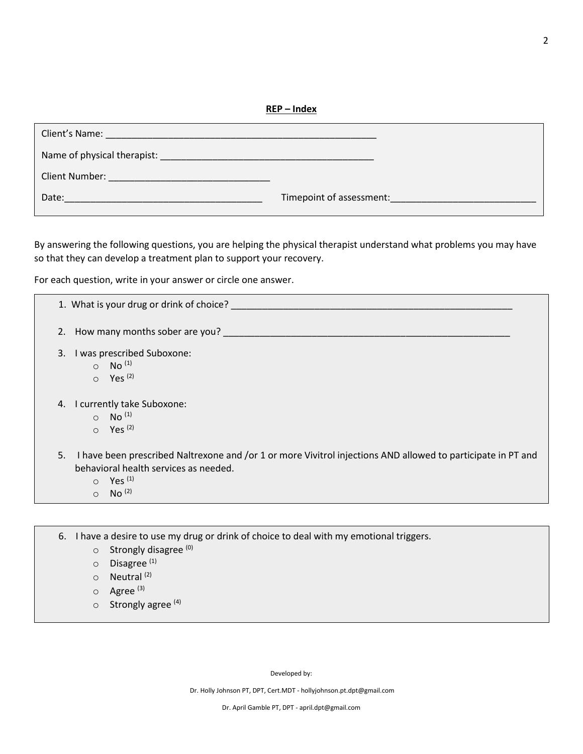**REP – Index**

| <b>Client's Name:</b> The Client's Name: The Client's Name: The Client's Name: The Client's Name: The Client's Name: The Client's Name: The Client's Name: The Client's Name: The Client's Name: The Client's Name: The Client's Na |                          |
|-------------------------------------------------------------------------------------------------------------------------------------------------------------------------------------------------------------------------------------|--------------------------|
|                                                                                                                                                                                                                                     |                          |
| Client Number:<br>the contract of the contract of the contract of the contract of the contract of the contract of the contract of                                                                                                   |                          |
| Date:                                                                                                                                                                                                                               | Timepoint of assessment: |

By answering the following questions, you are helping the physical therapist understand what problems you may have so that they can develop a treatment plan to support your recovery.

For each question, write in your answer or circle one answer.

| 1. What is your drug or drink of choice?                                                                                                                                                                               |
|------------------------------------------------------------------------------------------------------------------------------------------------------------------------------------------------------------------------|
| 2. How many months sober are you?                                                                                                                                                                                      |
| I was prescribed Suboxone:<br>3.<br>$\circ$ No <sup>(1)</sup><br>$\circ$ Yes <sup>(2)</sup>                                                                                                                            |
| I currently take Suboxone:<br>4.<br>$\circ$ No <sup>(1)</sup><br>$\circ$ Yes <sup>(2)</sup>                                                                                                                            |
| I have been prescribed Naltrexone and /or 1 or more Vivitrol injections AND allowed to participate in PT and<br>5.<br>behavioral health services as needed.<br>$\circ$ Yes <sup>(1)</sup><br>$\circ$ No <sup>(2)</sup> |

6. I have a desire to use my drug or drink of choice to deal with my emotional triggers.

- $\circ$  Strongly disagree  $^{(0)}$
- o Disagree (1)
- $\circ$  Neutral<sup>(2)</sup>
- o Agree<sup>(3)</sup>
- $\circ$  Strongly agree  $(4)$

Developed by:

Dr. Holly Johnson PT, DPT, Cert.MDT - hollyjohnson.pt.dpt@gmail.com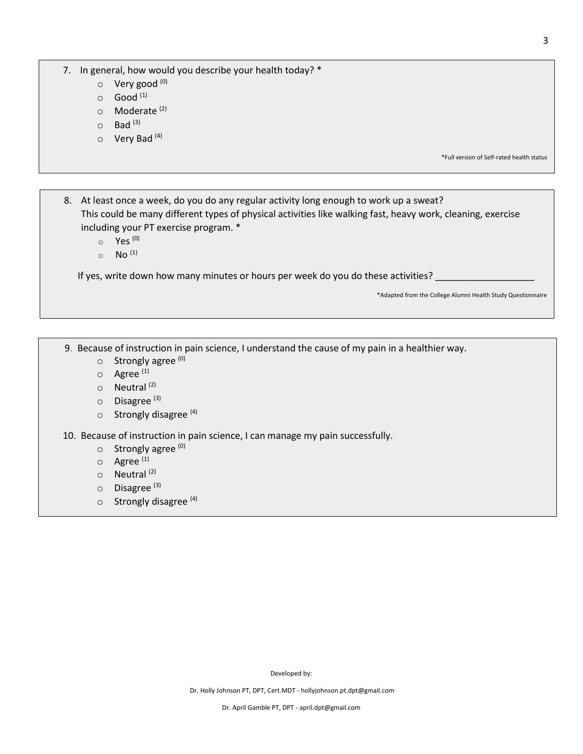7. In general, how would you describe your health today? \*

- o Very good <sup>(0)</sup>
- $\circ$  Good  $^{(1)}$
- o **Moderate**<sup>(2)</sup>
- $\circ$  Bad  $(3)$
- $\circ$  Very Bad<sup>(4)</sup>

\*Full version of Self-rated health status

8. At least once a week, do you do any regular activity long enough to work up a sweat? This could be many different types of physical activities like walking fast, heavy work, cleaning, exercise including your PT exercise program. \*

- $\circ$  Yes  $^{(0)}$
- $_0$  No<sup>(1)</sup>

If yes, write down how many minutes or hours per week do you do these activities?

\*Adapted from the College Alumni Health Study Questionnaire

9. Because of instruction in pain science, I understand the cause of my pain in a healthier way.

- o Strongly agree (0)
- $O$  Agree  $(1)$
- o Neutral (2)
- o Disagree<sup>(3)</sup>
- $\circ$  Strongly disagree<sup>(4)</sup>

10. Because of instruction in pain science, I can manage my pain successfully.

- o Strongly agree (0)
- $\circ$  Agree<sup>(1)</sup>
- o Neutral (2)
- o Disagree<sup>(3)</sup>
- $\circ$  Strongly disagree<sup>(4)</sup>

Developed by: Dr. Holly Johnson PT, DPT, Cert.MDT - hollyjohnson.pt.dpt@gmail.com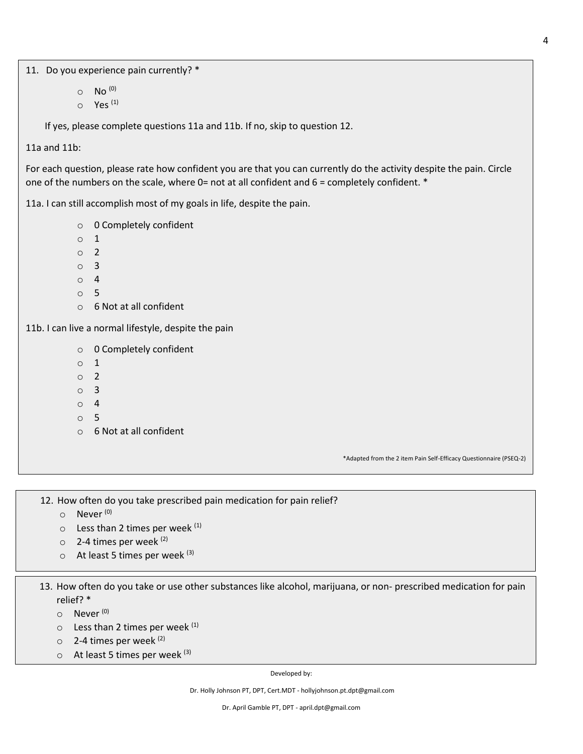11. Do you experience pain currently? \*

- $O$  No  $^{(0)}$
- $\circ$  Yes<sup>(1)</sup>

If yes, please complete questions 11a and 11b. If no, skip to question 12.

11a and 11b:

For each question, please rate how confident you are that you can currently do the activity despite the pain. Circle one of the numbers on the scale, where 0= not at all confident and  $6 =$  completely confident.  $*$ 

11a. I can still accomplish most of my goals in life, despite the pain.

- o 0 Completely confident
- o 1
- o 2
- o 3
- o 4
- o 5
- o 6 Not at all confident

11b. I can live a normal lifestyle, despite the pain

- o 0 Completely confident
- o 1
- o 2
- o 3
- o 4
- o 5
- o 6 Not at all confident

\*Adapted from the 2 item Pain Self-Efficacy Questionnaire (PSEQ-2)

12. How often do you take prescribed pain medication for pain relief?

- o Never (0)
- $\circ$  Less than 2 times per week  $(1)$
- $\circ$  2-4 times per week  $(2)$
- $\circ$  At least 5 times per week  $(3)$

13. How often do you take or use other substances like alcohol, marijuana, or non- prescribed medication for pain relief? \*

- o Never (0)
- $\circ$  Less than 2 times per week  $(1)$
- $\circ$  2-4 times per week  $(2)$
- $\circ$  At least 5 times per week  $(3)$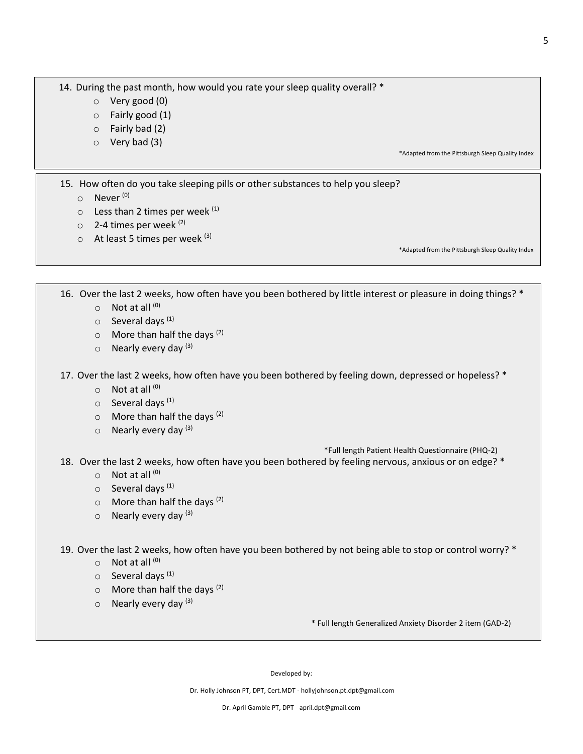14. During the past month, how would you rate your sleep quality overall? \*

- o Very good (0)
- o Fairly good (1)
- $\circ$  Fairly bad (2)
- o Very bad (3)

\*Adapted from the Pittsburgh Sleep Quality Index

15. How often do you take sleeping pills or other substances to help you sleep?

- o Never (0)
- $\circ$  Less than 2 times per week  $(1)$
- $\circ$  2-4 times per week (2)
- $\circ$  At least 5 times per week  $(3)$

\*Adapted from the Pittsburgh Sleep Quality Index

16. Over the last 2 weeks, how often have you been bothered by little interest or pleasure in doing things? \*

- $\circ$  Not at all  $^{(0)}$
- $\circ$  Several days<sup>(1)</sup>
- $\circ$  More than half the days  $(2)$
- $\circ$  Nearly every day  $(3)$

17. Over the last 2 weeks, how often have you been bothered by feeling down, depressed or hopeless? \*

- $\circ$  Not at all  $^{(0)}$
- $\circ$  Several days<sup>(1)</sup>
- $\circ$  More than half the days  $(2)$
- $\circ$  Nearly every day  $(3)$

\*Full length Patient Health Questionnaire (PHQ-2)

- 18. Over the last 2 weeks, how often have you been bothered by feeling nervous, anxious or on edge? \*
	- $\circ$  Not at all  $^{(0)}$
	- o Several days (1)
	- $\circ$  More than half the days  $(2)$
	- $\circ$  Nearly every day  $(3)$

19. Over the last 2 weeks, how often have you been bothered by not being able to stop or control worry? \*

- $\circ$  Not at all  $^{(0)}$
- $\circ$  Several days<sup>(1)</sup>
- $\circ$  More than half the days  $(2)$
- $\circ$  Nearly every day  $(3)$

\* Full length Generalized Anxiety Disorder 2 item (GAD-2)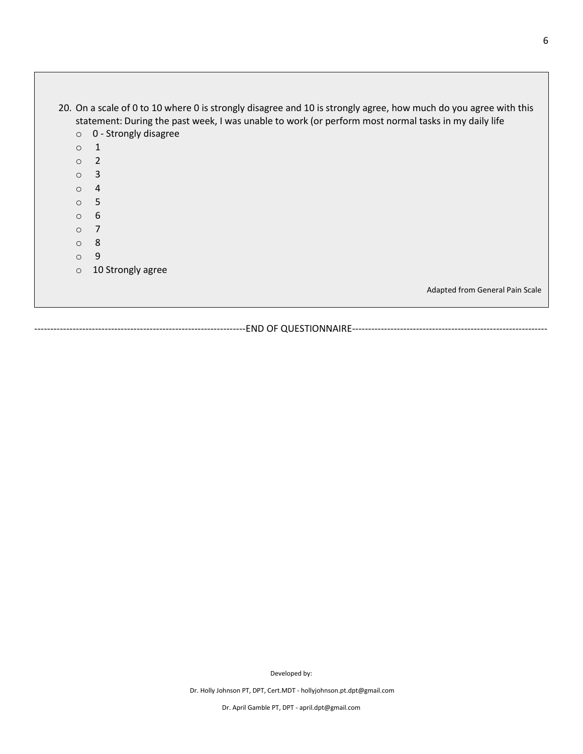|            | 20. On a scale of 0 to 10 where 0 is strongly disagree and 10 is strongly agree, how much do you agree with this<br>statement: During the past week, I was unable to work (or perform most normal tasks in my daily life |
|------------|--------------------------------------------------------------------------------------------------------------------------------------------------------------------------------------------------------------------------|
| $\circ$    | 0 - Strongly disagree                                                                                                                                                                                                    |
| $\bigcirc$ | 1                                                                                                                                                                                                                        |
| $\circ$    | 2                                                                                                                                                                                                                        |
| $\Omega$   | 3                                                                                                                                                                                                                        |
| $\Omega$   | 4                                                                                                                                                                                                                        |
| $\Omega$   | -5                                                                                                                                                                                                                       |
| $\circ$    | 6                                                                                                                                                                                                                        |
| $\bigcirc$ |                                                                                                                                                                                                                          |
| $\bigcirc$ | 8                                                                                                                                                                                                                        |
| $\Omega$   | 9                                                                                                                                                                                                                        |
| $\circ$    | 10 Strongly agree                                                                                                                                                                                                        |
|            | Adapted from General Pain Scale                                                                                                                                                                                          |

------------------------------------------------------------------END OF QUESTIONNAIRE-------------------------------------------------------------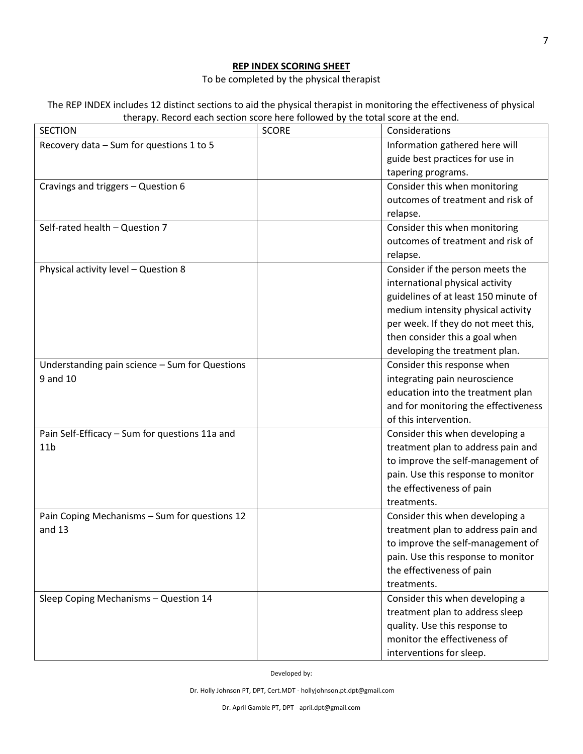## **REP INDEX SCORING SHEET**

To be completed by the physical therapist

| The REP INDEX includes 12 distinct sections to aid the physical therapist in monitoring the effectiveness of physical |
|-----------------------------------------------------------------------------------------------------------------------|
| therapy. Record each section score here followed by the total score at the end.                                       |

| <b>SECTION</b>                                 | <b>SCORE</b> | Considerations                       |
|------------------------------------------------|--------------|--------------------------------------|
| Recovery data - Sum for questions 1 to 5       |              | Information gathered here will       |
|                                                |              | guide best practices for use in      |
|                                                |              | tapering programs.                   |
| Cravings and triggers - Question 6             |              | Consider this when monitoring        |
|                                                |              | outcomes of treatment and risk of    |
|                                                |              | relapse.                             |
| Self-rated health - Question 7                 |              | Consider this when monitoring        |
|                                                |              | outcomes of treatment and risk of    |
|                                                |              | relapse.                             |
| Physical activity level - Question 8           |              | Consider if the person meets the     |
|                                                |              | international physical activity      |
|                                                |              | guidelines of at least 150 minute of |
|                                                |              | medium intensity physical activity   |
|                                                |              | per week. If they do not meet this,  |
|                                                |              | then consider this a goal when       |
|                                                |              | developing the treatment plan.       |
| Understanding pain science - Sum for Questions |              | Consider this response when          |
| 9 and 10                                       |              | integrating pain neuroscience        |
|                                                |              | education into the treatment plan    |
|                                                |              | and for monitoring the effectiveness |
|                                                |              | of this intervention.                |
| Pain Self-Efficacy - Sum for questions 11a and |              | Consider this when developing a      |
| 11 <sub>b</sub>                                |              | treatment plan to address pain and   |
|                                                |              | to improve the self-management of    |
|                                                |              | pain. Use this response to monitor   |
|                                                |              | the effectiveness of pain            |
|                                                |              | treatments.                          |
| Pain Coping Mechanisms - Sum for questions 12  |              | Consider this when developing a      |
| and $13$                                       |              | treatment plan to address pain and   |
|                                                |              | to improve the self-management of    |
|                                                |              | pain. Use this response to monitor   |
|                                                |              | the effectiveness of pain            |
|                                                |              | treatments.                          |
| Sleep Coping Mechanisms - Question 14          |              | Consider this when developing a      |
|                                                |              | treatment plan to address sleep      |
|                                                |              | quality. Use this response to        |
|                                                |              | monitor the effectiveness of         |
|                                                |              | interventions for sleep.             |